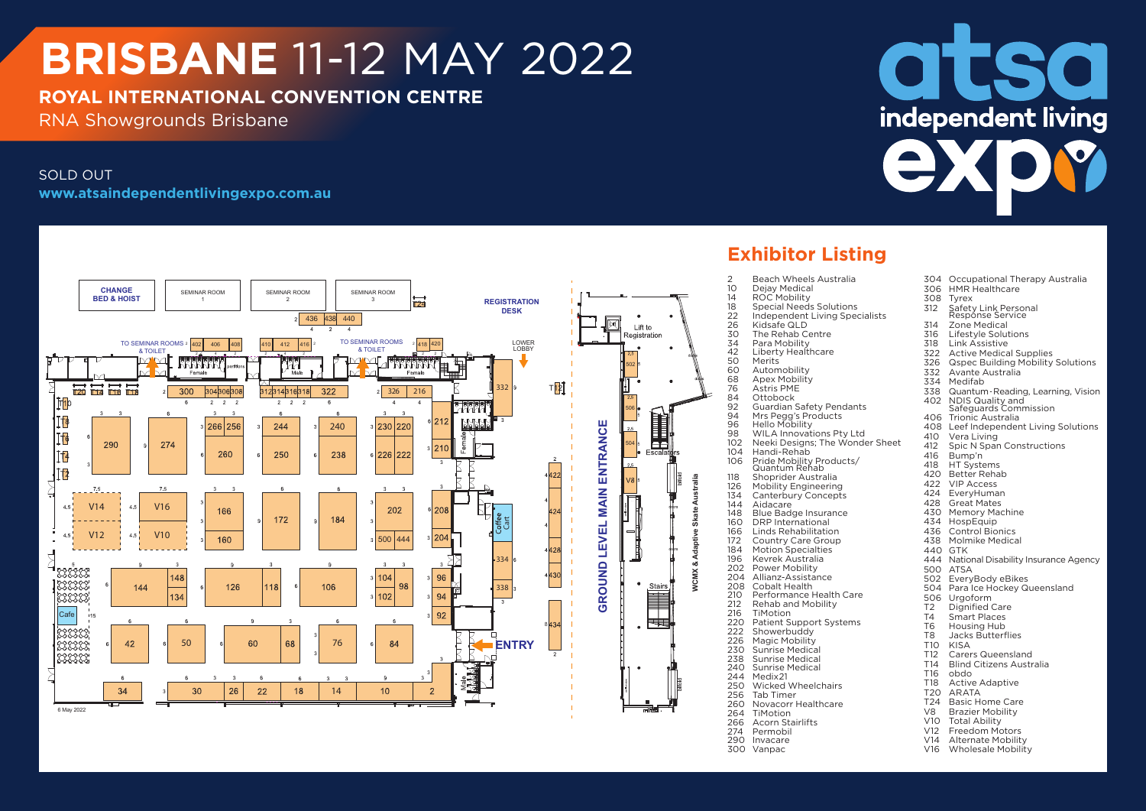# **BRISBANE** 11-12 MAY 2022

### **ROYAL INTERNATIONAL CONVENTION CENTRE**

RNA Showgrounds Brisbane

#### SOLD OUT **www.atsaindependentlivingexpo.com.au**



## **Exhibitor Listing**

- 300 Vanpac
- **ISO** independent living **AYR** 
	- 304 Occupational Therapy Australia 306 HMR Healthcare<br>308 Tyrex 308 Tyrex<br>312 Safet Safety Link Personal Response Service 314 Zone Medical 316 Lifestyle Solutions<br>318 Link Assistive 318 Link Assistive 322 Active Medical Supplies<br>326 Ospec Building Mobility 326 Qspec Building Mobility Solutions<br>332 Avante Australia 332 Avante Australia 334 Medifab 338 Quantum - Reading, Learning, Vision<br>402 NDIS Quality and 402 NDIS Quality and Safeguards Commission 406 Trionic Australia 408 Leef Independent Living Solutions<br>410 Vera Living 410 Vera Living<br>412 Spic N Spai 412 Spic N Span Constructions 416 Bump'n<br>418 HT Syste 418 HT Systems<br>420 Better Reha 420 Better Rehab<br>422 VIP Access 422 VIP Access 424 EveryHuman<br>428 Great Mates 428 Great Mates 430 Memory Machine<br>434 HospEquip 434 HospEquip<br>436 Control Bio 436 Control Bionics<br>438 Molmike Medica 438 Molmike Medical<br>440 GTK **GTK** 444 National Disability Insurance Agency<br>500 ATSA 500 ATSA<br>502 Every 502 EveryBody eBikes Para Ice Hockey Queensland 506 Urgoform<br>T2 Dignified T2 Dignified Care<br>T4 Smart Places T4 Smart Places<br>T6 Housing Hub T6 Housing Hub<br>T8 Jacks Butterf T8 Jacks Butterflies<br>T10 KISA T10 KISA T12 Carers Queensland<br>T14 Blind Citizens Austr T14 Blind Citizens Australia<br>T16 obdo T<sub>16</sub> obdo<br>T<sub>18</sub> Active T18 Active Adaptive<br>T20 ARATA T20 ARATA<br>T24 Basic H T24 Basic Home Care<br>V8 Brazier Mobility V8 Brazier Mobility<br>V10 Total Ability V<sub>10</sub> Total Ability<br>V<sub>12</sub> Freedom Mo V12 Freedom Motors<br>V14 Alternate Mobility
		- V<sub>14</sub> Alternate Mobility<br>V<sub>16</sub> Wholesale Mobility Wholesale Mobility
		-